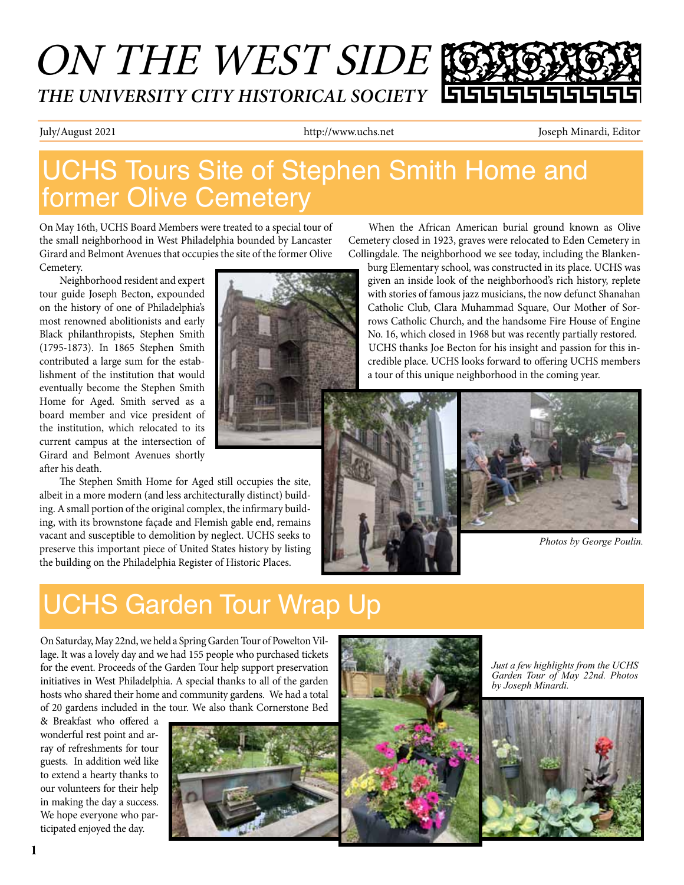# ON THE WEST SIDE *THE UNIVERSITY CITY HISTORICAL SOCIETY*

July/August 2021 http://www.uchs.net Joseph Minardi, Editor

## UCHS Tours Site of Stephen Smith Home and former Olive Cemetery

On May 16th, UCHS Board Members were treated to a special tour of the small neighborhood in West Philadelphia bounded by Lancaster Girard and Belmont Avenues that occupies the site of the former Olive Cemetery.

Neighborhood resident and expert tour guide Joseph Becton, expounded on the history of one of Philadelphia's most renowned abolitionists and early Black philanthropists, Stephen Smith (1795-1873). In 1865 Stephen Smith contributed a large sum for the establishment of the institution that would eventually become the Stephen Smith Home for Aged. Smith served as a board member and vice president of the institution, which relocated to its current campus at the intersection of Girard and Belmont Avenues shortly after his death.

The Stephen Smith Home for Aged still occupies the site, albeit in a more modern (and less architecturally distinct) building. A small portion of the original complex, the infirmary building, with its brownstone façade and Flemish gable end, remains vacant and susceptible to demolition by neglect. UCHS seeks to preserve this important piece of United States history by listing the building on the Philadelphia Register of Historic Places.



When the African American burial ground known as Olive Cemetery closed in 1923, graves were relocated to Eden Cemetery in Collingdale. The neighborhood we see today, including the Blanken-

burg Elementary school, was constructed in its place. UCHS was given an inside look of the neighborhood's rich history, replete with stories of famous jazz musicians, the now defunct Shanahan Catholic Club, Clara Muhammad Square, Our Mother of Sorrows Catholic Church, and the handsome Fire House of Engine No. 16, which closed in 1968 but was recently partially restored. UCHS thanks Joe Becton for his insight and passion for this incredible place. UCHS looks forward to offering UCHS members a tour of this unique neighborhood in the coming year.



## UCHS Garden Tour Wrap Up

On Saturday, May 22nd, we held a Spring Garden Tour of Powelton Village. It was a lovely day and we had 155 people who purchased tickets for the event. Proceeds of the Garden Tour help support preservation initiatives in West Philadelphia. A special thanks to all of the garden hosts who shared their home and community gardens. We had a total of 20 gardens included in the tour. We also thank Cornerstone Bed

& Breakfast who offered a wonderful rest point and array of refreshments for tour guests. In addition we'd like to extend a hearty thanks to our volunteers for their help in making the day a success. We hope everyone who participated enjoyed the day.





*Just a few highlights from the UCHS Garden Tour of May 22nd. Photos by Joseph Minardi.*

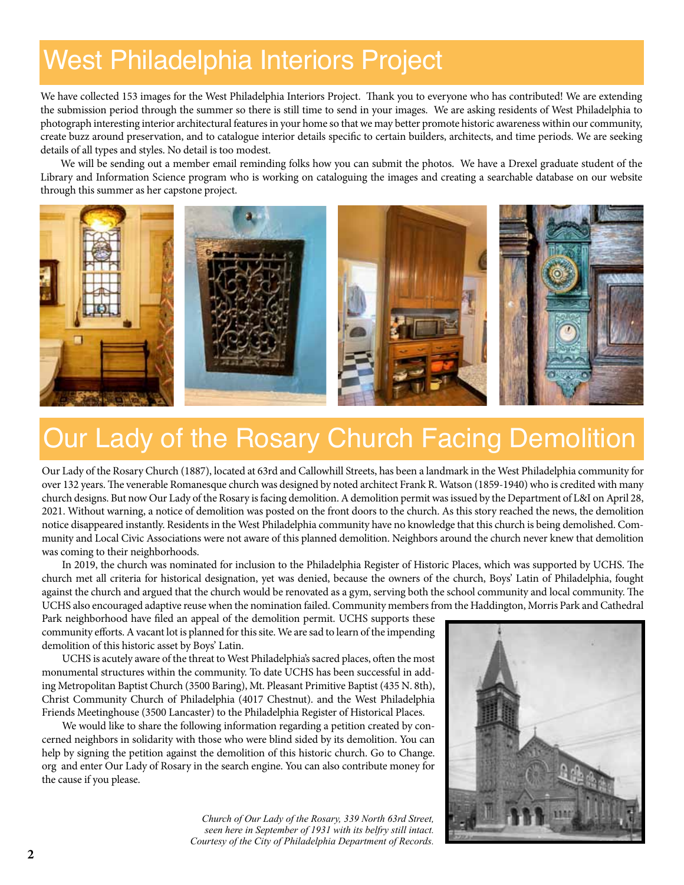## West Philadelphia Interiors Project

We have collected 153 images for the West Philadelphia Interiors Project. Thank you to everyone who has contributed! We are extending the submission period through the summer so there is still time to send in your images. We are asking residents of West Philadelphia to photograph interesting interior architectural features in your home so that we may better promote historic awareness within our community, create buzz around preservation, and to catalogue interior details specific to certain builders, architects, and time periods. We are seeking details of all types and styles. No detail is too modest.

We will be sending out a member email reminding folks how you can submit the photos. We have a Drexel graduate student of the Library and Information Science program who is working on cataloguing the images and creating a searchable database on our website through this summer as her capstone project.



## Our Lady of the Rosary Church Facing Demolition

Our Lady of the Rosary Church (1887), located at 63rd and Callowhill Streets, has been a landmark in the West Philadelphia community for over 132 years. The venerable Romanesque church was designed by noted architect Frank R. Watson (1859-1940) who is credited with many church designs. But now Our Lady of the Rosary is facing demolition. A demolition permit was issued by the Department of L&I on April 28, 2021. Without warning, a notice of demolition was posted on the front doors to the church. As this story reached the news, the demolition notice disappeared instantly. Residents in the West Philadelphia community have no knowledge that this church is being demolished. Community and Local Civic Associations were not aware of this planned demolition. Neighbors around the church never knew that demolition was coming to their neighborhoods.

In 2019, the church was nominated for inclusion to the Philadelphia Register of Historic Places, which was supported by UCHS. The church met all criteria for historical designation, yet was denied, because the owners of the church, Boys' Latin of Philadelphia, fought against the church and argued that the church would be renovated as a gym, serving both the school community and local community. The UCHS also encouraged adaptive reuse when the nomination failed. Community members from the Haddington, Morris Park and Cathedral

Park neighborhood have filed an appeal of the demolition permit. UCHS supports these community efforts. A vacant lot is planned for this site. We are sad to learn of the impending demolition of this historic asset by Boys' Latin.

UCHS is acutely aware of the threat to West Philadelphia's sacred places, often the most monumental structures within the community. To date UCHS has been successful in adding Metropolitan Baptist Church (3500 Baring), Mt. Pleasant Primitive Baptist (435 N. 8th), Christ Community Church of Philadelphia (4017 Chestnut). and the West Philadelphia Friends Meetinghouse (3500 Lancaster) to the Philadelphia Register of Historical Places.

We would like to share the following information regarding a petition created by concerned neighbors in solidarity with those who were blind sided by its demolition. You can help by signing the petition against the demolition of this historic church. Go to Change. org and enter Our Lady of Rosary in the search engine. You can also contribute money for the cause if you please.

> *Church of Our Lady of the Rosary, 339 North 63rd Street, seen here in September of 1931 with its belfry still intact. Courtesy of the City of Philadelphia Department of Records.*

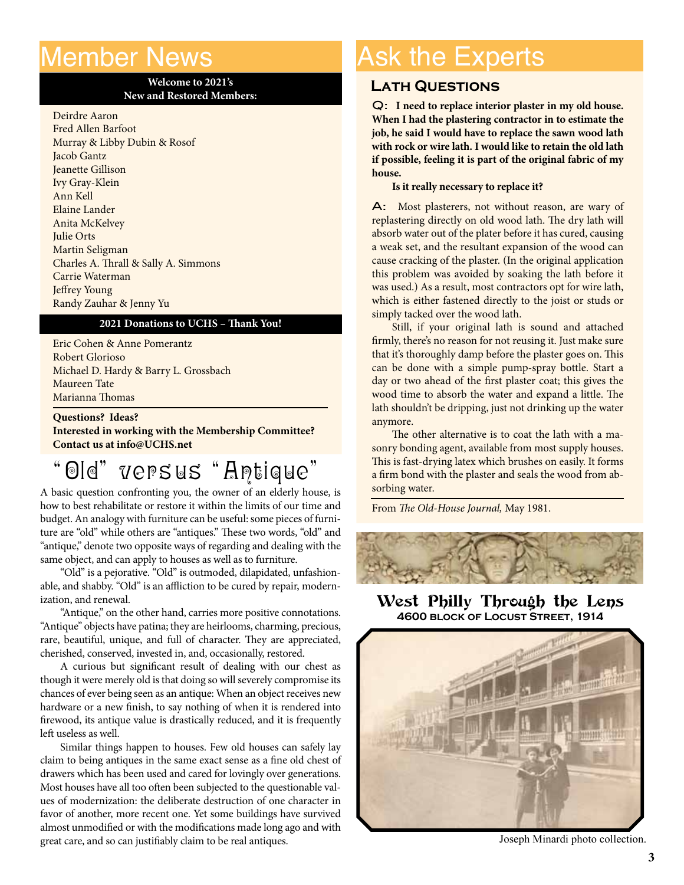### Member News

I

#### **Welcome to 2021's New and Restored Members:**

Deirdre Aaron Fred Allen Barfoot Murray & Libby Dubin & Rosof Jacob Gantz Jeanette Gillison Ivy Gray-Klein Ann Kell Elaine Lander Anita McKelvey Julie Orts Martin Seligman Charles A. Thrall & Sally A. Simmons Carrie Waterman Jeffrey Young Randy Zauhar & Jenny Yu

#### **2021 Donations to UCHS – Thank You!**

Eric Cohen & Anne Pomerantz Robert Glorioso Michael D. Hardy & Barry L. Grossbach Maureen Tate Marianna Thomas

**Questions? Ideas? Interested in working with the Membership Committee? Contact us at info@UCHS.net**

### "Old" versus "Antique"

A basic question confronting you, the owner of an elderly house, is how to best rehabilitate or restore it within the limits of our time and budget. An analogy with furniture can be useful: some pieces of furniture are "old" while others are "antiques." These two words, "old" and "antique," denote two opposite ways of regarding and dealing with the same object, and can apply to houses as well as to furniture.

"Old" is a pejorative. "Old" is outmoded, dilapidated, unfashionable, and shabby. "Old" is an affliction to be cured by repair, modernization, and renewal.

"Antique," on the other hand, carries more positive connotations. "Antique" objects have patina; they are heirlooms, charming, precious, rare, beautiful, unique, and full of character. They are appreciated, cherished, conserved, invested in, and, occasionally, restored.

A curious but significant result of dealing with our chest as though it were merely old is that doing so will severely compromise its chances of ever being seen as an antique: When an object receives new hardware or a new finish, to say nothing of when it is rendered into firewood, its antique value is drastically reduced, and it is frequently left useless as well.

Similar things happen to houses. Few old houses can safely lay claim to being antiques in the same exact sense as a fine old chest of drawers which has been used and cared for lovingly over generations. Most houses have all too often been subjected to the questionable values of modernization: the deliberate destruction of one character in favor of another, more recent one. Yet some buildings have survived almost unmodified or with the modifications made long ago and with great care, and so can justifiably claim to be real antiques.

## Ask the Experts

#### **Lath Questions**

Q: **I need to replace interior plaster in my old house. When I had the plastering contractor in to estimate the job, he said I would have to replace the sawn wood lath with rock or wire lath. I would like to retain the old lath if possible, feeling it is part of the original fabric of my house.**

#### **Is it really necessary to replace it?**

A: Most plasterers, not without reason, are wary of replastering directly on old wood lath. The dry lath will absorb water out of the plater before it has cured, causing a weak set, and the resultant expansion of the wood can cause cracking of the plaster. (In the original application this problem was avoided by soaking the lath before it was used.) As a result, most contractors opt for wire lath, which is either fastened directly to the joist or studs or simply tacked over the wood lath.

Still, if your original lath is sound and attached firmly, there's no reason for not reusing it. Just make sure that it's thoroughly damp before the plaster goes on. This can be done with a simple pump-spray bottle. Start a day or two ahead of the first plaster coat; this gives the wood time to absorb the water and expand a little. The lath shouldn't be dripping, just not drinking up the water anymore.

The other alternative is to coat the lath with a masonry bonding agent, available from most supply houses. This is fast-drying latex which brushes on easily. It forms a firm bond with the plaster and seals the wood from absorbing water.

From *The Old-House Journal,* May 1981.



West Philly Through the Lens **4600 block of Locust Street, 1914**



Joseph Minardi photo collection.